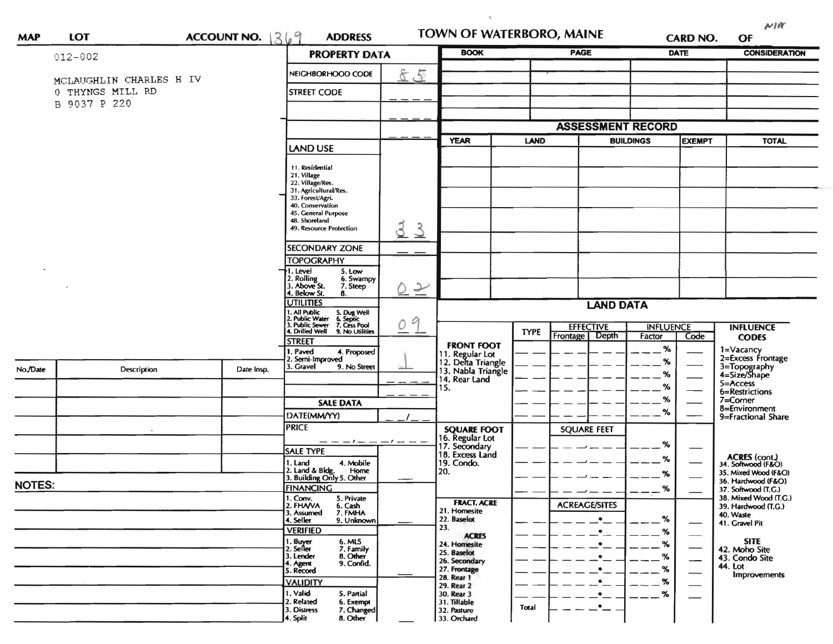| <b>MAP</b>    | <b>LOT</b>              | ACCOUNT NO. $369$ |                                                  |                                                                                                                                                                                        | <b>ADDRESS</b>                 |                                                            | TOWN OF WATERBORO, MAINE |                                       | <b>CARD NO.</b>            |                             | NIR<br>OF                                    |
|---------------|-------------------------|-------------------|--------------------------------------------------|----------------------------------------------------------------------------------------------------------------------------------------------------------------------------------------|--------------------------------|------------------------------------------------------------|--------------------------|---------------------------------------|----------------------------|-----------------------------|----------------------------------------------|
|               | $012 - 002$             |                   |                                                  | <b>PROPERTY DATA</b>                                                                                                                                                                   |                                | <b>BOOK</b>                                                |                          | <b>PAGE</b>                           |                            | <b>DATE</b>                 | <b>CONSIDERATION</b>                         |
|               | MCLAUGHLIN CHARLES H IV |                   |                                                  | NEIGHBORHOOD CODE                                                                                                                                                                      | 85                             |                                                            |                          |                                       |                            |                             |                                              |
|               | 0 THYNGS MILL RD        |                   |                                                  | <b>STREET CODE</b>                                                                                                                                                                     |                                |                                                            |                          |                                       |                            |                             |                                              |
|               | B 9037 P 220            |                   |                                                  |                                                                                                                                                                                        |                                |                                                            |                          |                                       |                            |                             |                                              |
|               |                         |                   |                                                  |                                                                                                                                                                                        |                                |                                                            | <b>ASSESSMENT RECORD</b> |                                       |                            |                             |                                              |
|               |                         |                   |                                                  | LAND USE                                                                                                                                                                               |                                | <b>YEAR</b>                                                | <b>LAND</b>              | <b>BUILDINGS</b>                      |                            | <b>EXEMPT</b>               | <b>TOTAL</b>                                 |
|               |                         |                   |                                                  | 11. Residential<br>21. Village<br>22. Village/Res.<br>31. Agricultural/Res.<br>33. Forest/Agri.<br>40. Conservation<br>45. General Purpose<br>48. Shoreland<br>49. Resource Protection | 3<br>$\mathcal{S}$             |                                                            |                          |                                       |                            |                             |                                              |
|               |                         |                   |                                                  | <b>SECONDARY ZONE</b>                                                                                                                                                                  |                                |                                                            |                          |                                       |                            |                             |                                              |
|               |                         |                   |                                                  | <b>TOPOGRAPHY</b><br>I. Level<br>5. Low                                                                                                                                                |                                |                                                            |                          |                                       |                            |                             |                                              |
|               |                         |                   |                                                  | 2. Rolling<br>3. Above St.<br>6. Swampy<br>7. Steep                                                                                                                                    | $\overline{\phantom{a}}$<br>D. |                                                            |                          |                                       |                            |                             |                                              |
|               |                         |                   |                                                  | 4. Below St.<br>8.<br><b>UTILITIES</b>                                                                                                                                                 |                                | <b>LAND DATA</b>                                           |                          |                                       |                            |                             |                                              |
|               |                         |                   |                                                  | I. All Public<br>5. Dug Well<br>6. Septic<br>7. Cess Pool<br>9. No Utilities<br>2. Public Water<br>3. Public Sewer<br>4. Drilled Well                                                  | g                              |                                                            |                          |                                       |                            |                             |                                              |
|               |                         |                   |                                                  | <b>STREET</b>                                                                                                                                                                          | $\circ$                        |                                                            | <b>TYPE</b>              | <b>EFFECTIVE</b><br>Depth<br>Frontage | <b>INFLUENCE</b><br>Factor | Code                        | <b>INFLUENCE</b><br><b>CODES</b>             |
|               |                         |                   |                                                  | I. Paved<br>4. Proposed                                                                                                                                                                |                                | <b>FRONT FOOT</b><br>11. Regular Lot<br>12. Delta Triangle |                          |                                       | $\%$                       |                             | 1=Vacancy<br>2=Excess Frontage               |
| No./Date      | Description             | Date Insp.        |                                                  | 2. Semi-Improved<br>3. Gravel<br>9. No Street                                                                                                                                          |                                | 13. Nabla Triangle                                         |                          |                                       | %<br>%                     |                             | 3=Topography<br>4=Size/Shape                 |
|               |                         |                   |                                                  |                                                                                                                                                                                        |                                | 14. Rear Land<br>15.                                       |                          |                                       | %                          |                             | 5=Access<br>6=Restrictions                   |
|               |                         |                   |                                                  | <b>SALE DATA</b>                                                                                                                                                                       |                                |                                                            |                          |                                       | %                          |                             | 7=Corner                                     |
|               |                         |                   |                                                  | DATE(MM/YY)                                                                                                                                                                            |                                |                                                            |                          |                                       | %                          |                             | 8=Environment<br>9=Fractional Share          |
|               |                         |                   |                                                  | <b>PRICE</b>                                                                                                                                                                           |                                | <b>SQUARE FOOT</b>                                         |                          | <b>SQUARE FEET</b>                    |                            |                             |                                              |
|               |                         |                   |                                                  | <b>SALE TYPE</b>                                                                                                                                                                       |                                | 16. Regular Lot<br>17. Secondary<br>18. Excess Land        |                          |                                       | %                          |                             |                                              |
|               |                         |                   |                                                  | 4. Mobile<br>1. Land                                                                                                                                                                   |                                | 19. Condo.                                                 |                          |                                       | %                          |                             | ACRES (cont.)<br>34. Softwood (F&O)          |
|               |                         |                   |                                                  | 2. Land & Bldg. Home<br>3. Building Only 5. Other<br>Home                                                                                                                              |                                | 20.                                                        |                          |                                       | %                          |                             | 35. Mixed Wood (F&O)<br>36. Hardwood (F&O)   |
| <b>NOTES:</b> |                         |                   |                                                  | <b>FINANCING</b>                                                                                                                                                                       |                                |                                                            |                          |                                       | %                          |                             | 37. Softwood (T.G.)                          |
|               |                         |                   |                                                  | 1. Conv.<br>5. Private<br>2. FHAVA<br>6. Cash                                                                                                                                          |                                | <b>FRACT. ACRE</b><br>21. Homesite                         |                          | <b>ACREAGE/SITES</b>                  |                            |                             | 38. Mixed Wood (T.G.)<br>39. Hardwood (T.G.) |
|               |                         |                   | 7. FMHA<br>3. Assumed<br>4. Seller<br>9. Unknown |                                                                                                                                                                                        | 22. Baselot                    |                                                            | $\bullet$                | %                                     |                            | 40. Waste<br>41. Gravel Pit |                                              |
|               |                         |                   |                                                  | <b>VERIFIED</b>                                                                                                                                                                        |                                | 23.<br><b>ACRES</b>                                        |                          | ٠                                     | %                          |                             |                                              |
|               |                         |                   |                                                  | 1. Buyer<br>2. Seller<br>6. MLS<br>7. Family                                                                                                                                           |                                | 24. Homesite<br>25. Baselot                                |                          | ٠                                     | %                          |                             | <b>SITE</b><br>42. Moho Site                 |
|               |                         |                   | 3. Lender<br>8. Other<br>4. Agent<br>9. Confid.  |                                                                                                                                                                                        | 26. Secondary                  |                                                            |                          | %                                     |                            | 43. Condo Site<br>44. Lot   |                                              |
|               |                         |                   |                                                  | 5. Record                                                                                                                                                                              |                                | 27. Frontage<br>28. Rear 1                                 |                          |                                       | %                          |                             | Improvements                                 |
|               |                         |                   | <b>VALIDITY</b><br>1. Valid<br>5. Partial        |                                                                                                                                                                                        | 29. Rear 2<br>30. Rear 3       |                                                            |                          | $\%$<br>%                             |                            |                             |                                              |
|               |                         |                   |                                                  | 2. Related<br>6. Exempt<br>7. Changed<br>3. Distress                                                                                                                                   |                                | 31. Tillable<br>32. Pasture                                | Total                    | ٠                                     |                            |                             |                                              |
|               |                         |                   |                                                  | 4. Split<br>8. Other                                                                                                                                                                   |                                | 33. Orchard                                                |                          |                                       |                            |                             |                                              |

 $\mathbf{v}$